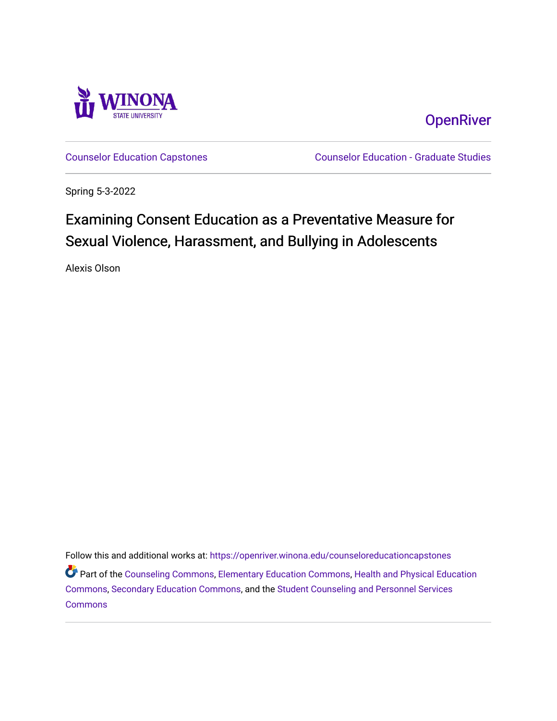

**OpenRiver** 

[Counselor Education Capstones](https://openriver.winona.edu/counseloreducationcapstones) [Counselor Education - Graduate Studies](https://openriver.winona.edu/counseloreducation) 

Spring 5-3-2022

# Examining Consent Education as a Preventative Measure for Sexual Violence, Harassment, and Bullying in Adolescents

Alexis Olson

Follow this and additional works at: [https://openriver.winona.edu/counseloreducationcapstones](https://openriver.winona.edu/counseloreducationcapstones?utm_source=openriver.winona.edu%2Fcounseloreducationcapstones%2F159&utm_medium=PDF&utm_campaign=PDFCoverPages) Part of the [Counseling Commons,](http://network.bepress.com/hgg/discipline/1268?utm_source=openriver.winona.edu%2Fcounseloreducationcapstones%2F159&utm_medium=PDF&utm_campaign=PDFCoverPages) [Elementary Education Commons](http://network.bepress.com/hgg/discipline/1378?utm_source=openriver.winona.edu%2Fcounseloreducationcapstones%2F159&utm_medium=PDF&utm_campaign=PDFCoverPages), [Health and Physical Education](http://network.bepress.com/hgg/discipline/1327?utm_source=openriver.winona.edu%2Fcounseloreducationcapstones%2F159&utm_medium=PDF&utm_campaign=PDFCoverPages) [Commons](http://network.bepress.com/hgg/discipline/1327?utm_source=openriver.winona.edu%2Fcounseloreducationcapstones%2F159&utm_medium=PDF&utm_campaign=PDFCoverPages), [Secondary Education Commons,](http://network.bepress.com/hgg/discipline/1382?utm_source=openriver.winona.edu%2Fcounseloreducationcapstones%2F159&utm_medium=PDF&utm_campaign=PDFCoverPages) and the [Student Counseling and Personnel Services](http://network.bepress.com/hgg/discipline/802?utm_source=openriver.winona.edu%2Fcounseloreducationcapstones%2F159&utm_medium=PDF&utm_campaign=PDFCoverPages)  **[Commons](http://network.bepress.com/hgg/discipline/802?utm_source=openriver.winona.edu%2Fcounseloreducationcapstones%2F159&utm_medium=PDF&utm_campaign=PDFCoverPages)**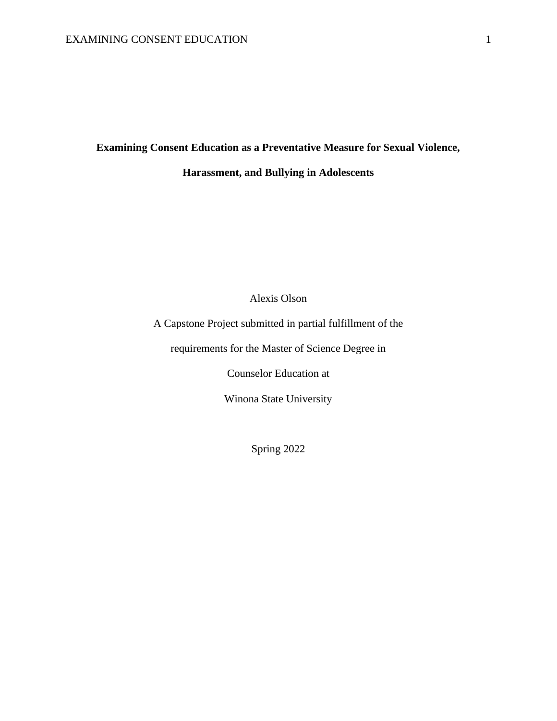# **Examining Consent Education as a Preventative Measure for Sexual Violence,**

# **Harassment, and Bullying in Adolescents**

Alexis Olson

A Capstone Project submitted in partial fulfillment of the

requirements for the Master of Science Degree in

Counselor Education at

Winona State University

Spring 2022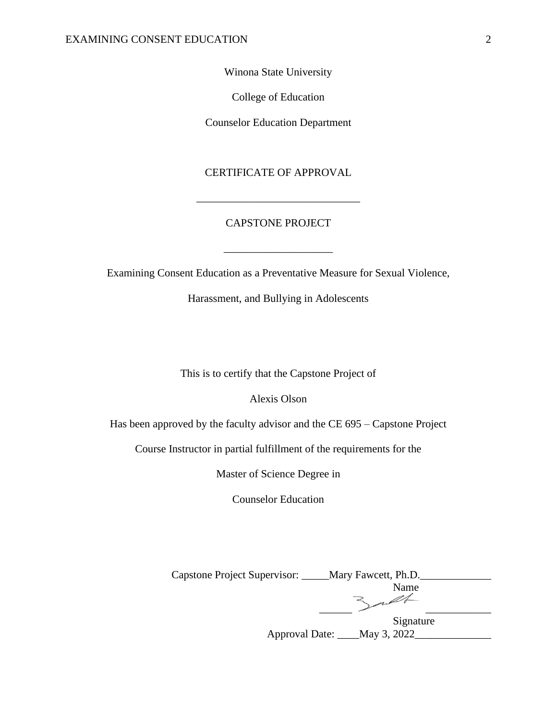Winona State University

College of Education

Counselor Education Department

## CERTIFICATE OF APPROVAL

\_\_\_\_\_\_\_\_\_\_\_\_\_\_\_\_\_\_\_\_\_\_\_\_\_\_\_\_\_\_

## CAPSTONE PROJECT

 $\_$ 

Examining Consent Education as a Preventative Measure for Sexual Violence,

Harassment, and Bullying in Adolescents

This is to certify that the Capstone Project of

Alexis Olson

Has been approved by the faculty advisor and the CE 695 – Capstone Project

Course Instructor in partial fulfillment of the requirements for the

Master of Science Degree in

Counselor Education

| Capstone Project Supervisor: | Mary Fawcett, Ph.D. |
|------------------------------|---------------------|
|                              | Name                |
|                              |                     |
|                              | Signature           |
| Approval Date:               | May 3, 2022         |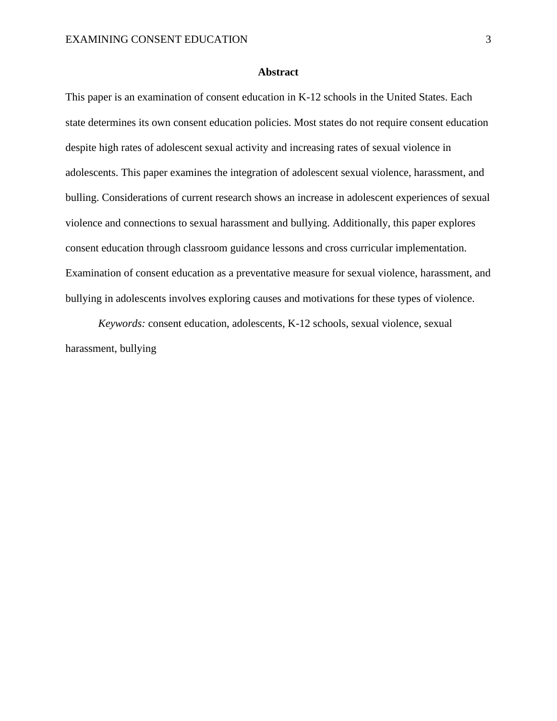### **Abstract**

This paper is an examination of consent education in K-12 schools in the United States. Each state determines its own consent education policies. Most states do not require consent education despite high rates of adolescent sexual activity and increasing rates of sexual violence in adolescents. This paper examines the integration of adolescent sexual violence, harassment, and bulling. Considerations of current research shows an increase in adolescent experiences of sexual violence and connections to sexual harassment and bullying. Additionally, this paper explores consent education through classroom guidance lessons and cross curricular implementation. Examination of consent education as a preventative measure for sexual violence, harassment, and bullying in adolescents involves exploring causes and motivations for these types of violence.

*Keywords:* consent education, adolescents, K-12 schools, sexual violence, sexual harassment, bullying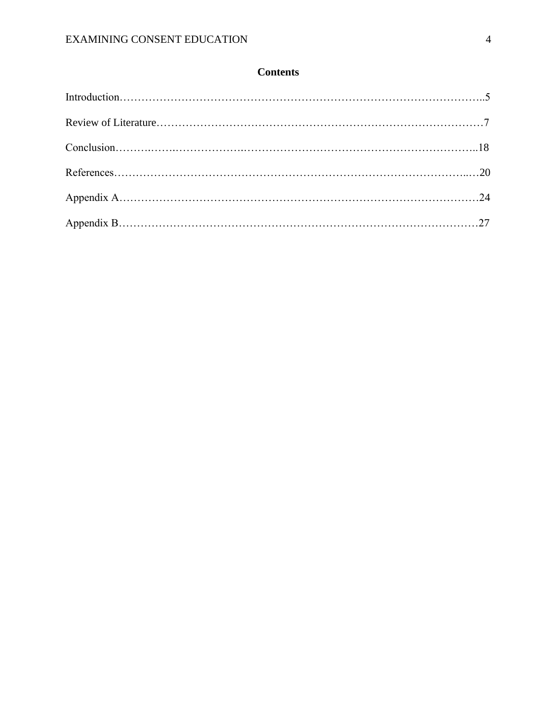# **Contents**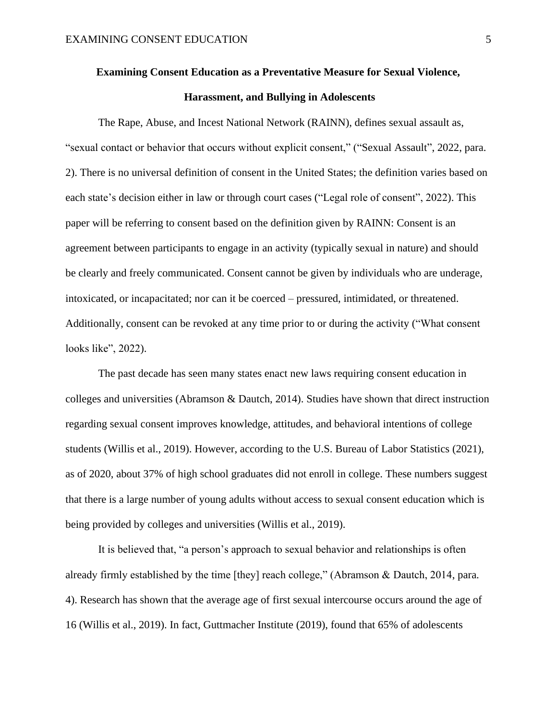# **Examining Consent Education as a Preventative Measure for Sexual Violence, Harassment, and Bullying in Adolescents**

The Rape, Abuse, and Incest National Network (RAINN), defines sexual assault as, "sexual contact or behavior that occurs without explicit consent," ("Sexual Assault", 2022, para. 2). There is no universal definition of consent in the United States; the definition varies based on each state's decision either in law or through court cases ("Legal role of consent", 2022). This paper will be referring to consent based on the definition given by RAINN: Consent is an agreement between participants to engage in an activity (typically sexual in nature) and should be clearly and freely communicated. Consent cannot be given by individuals who are underage, intoxicated, or incapacitated; nor can it be coerced – pressured, intimidated, or threatened. Additionally, consent can be revoked at any time prior to or during the activity ("What consent looks like", 2022).

The past decade has seen many states enact new laws requiring consent education in colleges and universities (Abramson & Dautch, 2014). Studies have shown that direct instruction regarding sexual consent improves knowledge, attitudes, and behavioral intentions of college students (Willis et al., 2019). However, according to the U.S. Bureau of Labor Statistics (2021), as of 2020, about 37% of high school graduates did not enroll in college. These numbers suggest that there is a large number of young adults without access to sexual consent education which is being provided by colleges and universities (Willis et al., 2019).

It is believed that, "a person's approach to sexual behavior and relationships is often already firmly established by the time [they] reach college," (Abramson & Dautch, 2014, para. 4). Research has shown that the average age of first sexual intercourse occurs around the age of 16 (Willis et al., 2019). In fact, Guttmacher Institute (2019), found that 65% of adolescents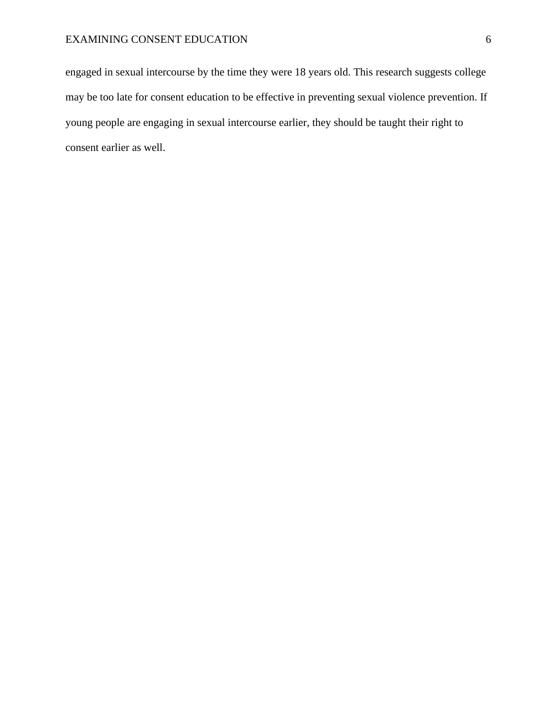engaged in sexual intercourse by the time they were 18 years old. This research suggests college may be too late for consent education to be effective in preventing sexual violence prevention. If young people are engaging in sexual intercourse earlier, they should be taught their right to consent earlier as well.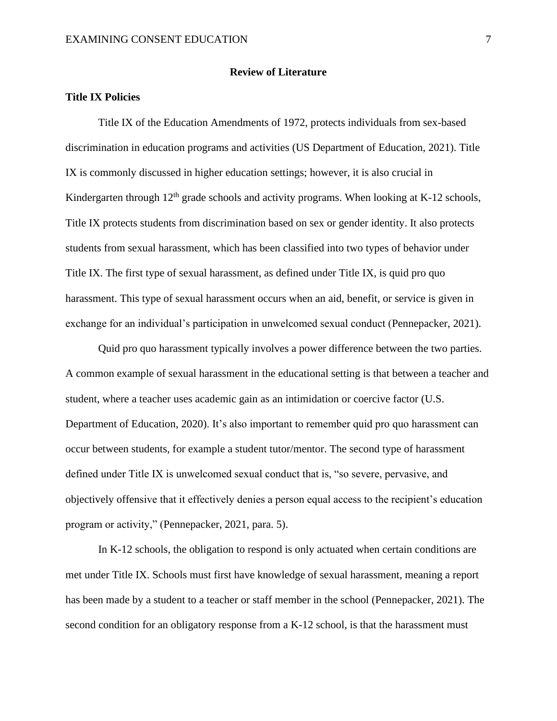#### **Review of Literature**

## **Title IX Policies**

Title IX of the Education Amendments of 1972, protects individuals from sex-based discrimination in education programs and activities (US Department of Education, 2021). Title IX is commonly discussed in higher education settings; however, it is also crucial in Kindergarten through  $12<sup>th</sup>$  grade schools and activity programs. When looking at K-12 schools, Title IX protects students from discrimination based on sex or gender identity. It also protects students from sexual harassment, which has been classified into two types of behavior under Title IX. The first type of sexual harassment, as defined under Title IX, is quid pro quo harassment. This type of sexual harassment occurs when an aid, benefit, or service is given in exchange for an individual's participation in unwelcomed sexual conduct (Pennepacker, 2021).

Quid pro quo harassment typically involves a power difference between the two parties. A common example of sexual harassment in the educational setting is that between a teacher and student, where a teacher uses academic gain as an intimidation or coercive factor (U.S. Department of Education, 2020). It's also important to remember quid pro quo harassment can occur between students, for example a student tutor/mentor. The second type of harassment defined under Title IX is unwelcomed sexual conduct that is, "so severe, pervasive, and objectively offensive that it effectively denies a person equal access to the recipient's education program or activity," (Pennepacker, 2021, para. 5).

In K-12 schools, the obligation to respond is only actuated when certain conditions are met under Title IX. Schools must first have knowledge of sexual harassment, meaning a report has been made by a student to a teacher or staff member in the school (Pennepacker, 2021). The second condition for an obligatory response from a K-12 school, is that the harassment must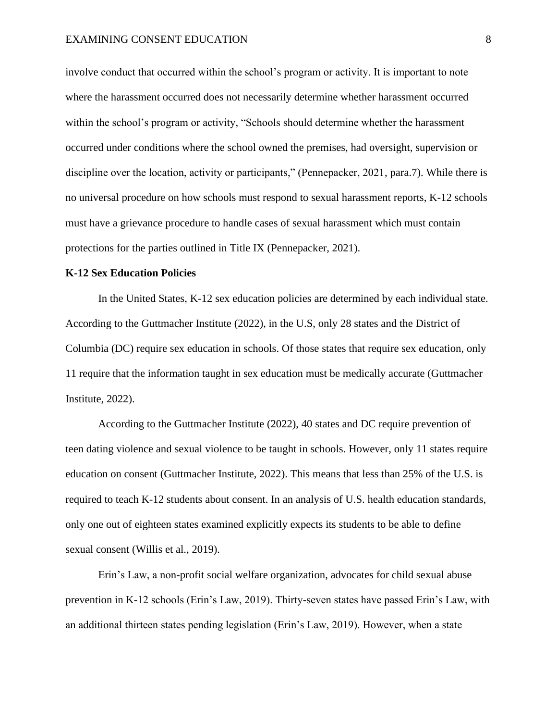involve conduct that occurred within the school's program or activity. It is important to note where the harassment occurred does not necessarily determine whether harassment occurred within the school's program or activity, "Schools should determine whether the harassment occurred under conditions where the school owned the premises, had oversight, supervision or discipline over the location, activity or participants," (Pennepacker, 2021, para.7). While there is no universal procedure on how schools must respond to sexual harassment reports, K-12 schools must have a grievance procedure to handle cases of sexual harassment which must contain protections for the parties outlined in Title IX (Pennepacker, 2021).

#### **K-12 Sex Education Policies**

In the United States, K-12 sex education policies are determined by each individual state. According to the Guttmacher Institute (2022), in the U.S, only 28 states and the District of Columbia (DC) require sex education in schools. Of those states that require sex education, only 11 require that the information taught in sex education must be medically accurate (Guttmacher Institute, 2022).

According to the Guttmacher Institute (2022), 40 states and DC require prevention of teen dating violence and sexual violence to be taught in schools. However, only 11 states require education on consent (Guttmacher Institute, 2022). This means that less than 25% of the U.S. is required to teach K-12 students about consent. In an analysis of U.S. health education standards, only one out of eighteen states examined explicitly expects its students to be able to define sexual consent (Willis et al., 2019).

Erin's Law, a non-profit social welfare organization, advocates for child sexual abuse prevention in K-12 schools (Erin's Law, 2019). Thirty-seven states have passed Erin's Law, with an additional thirteen states pending legislation (Erin's Law, 2019). However, when a state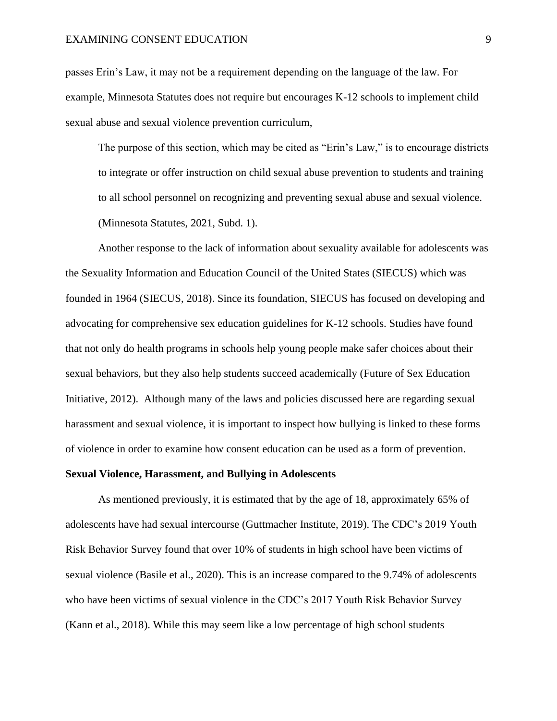#### EXAMINING CONSENT EDUCATION 9

passes Erin's Law, it may not be a requirement depending on the language of the law. For example, Minnesota Statutes does not require but encourages K-12 schools to implement child sexual abuse and sexual violence prevention curriculum,

The purpose of this section, which may be cited as "Erin's Law," is to encourage districts to integrate or offer instruction on child sexual abuse prevention to students and training to all school personnel on recognizing and preventing sexual abuse and sexual violence. (Minnesota Statutes, 2021, Subd. 1).

Another response to the lack of information about sexuality available for adolescents was the Sexuality Information and Education Council of the United States (SIECUS) which was founded in 1964 (SIECUS, 2018). Since its foundation, SIECUS has focused on developing and advocating for comprehensive sex education guidelines for K-12 schools. Studies have found that not only do health programs in schools help young people make safer choices about their sexual behaviors, but they also help students succeed academically (Future of Sex Education Initiative, 2012). Although many of the laws and policies discussed here are regarding sexual harassment and sexual violence, it is important to inspect how bullying is linked to these forms of violence in order to examine how consent education can be used as a form of prevention.

#### **Sexual Violence, Harassment, and Bullying in Adolescents**

As mentioned previously, it is estimated that by the age of 18, approximately 65% of adolescents have had sexual intercourse (Guttmacher Institute, 2019). The CDC's 2019 Youth Risk Behavior Survey found that over 10% of students in high school have been victims of sexual violence (Basile et al., 2020). This is an increase compared to the 9.74% of adolescents who have been victims of sexual violence in the CDC's 2017 Youth Risk Behavior Survey (Kann et al., 2018). While this may seem like a low percentage of high school students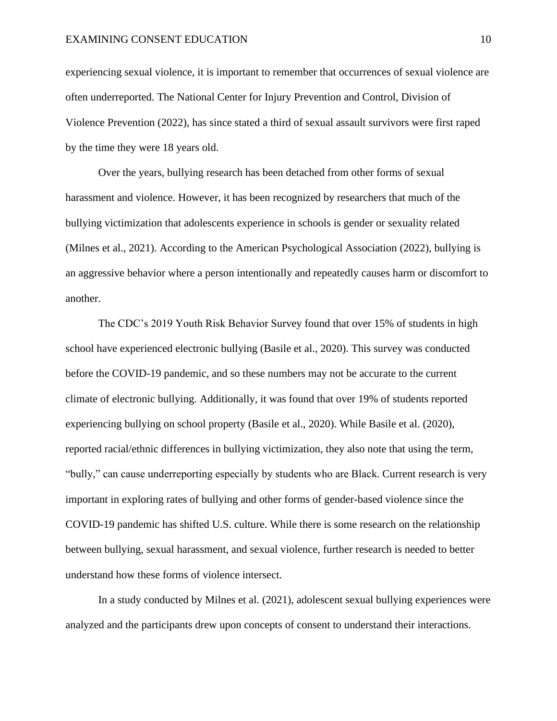#### EXAMINING CONSENT EDUCATION 10

experiencing sexual violence, it is important to remember that occurrences of sexual violence are often underreported. The National Center for Injury Prevention and Control, Division of Violence Prevention (2022), has since stated a third of sexual assault survivors were first raped by the time they were 18 years old.

Over the years, bullying research has been detached from other forms of sexual harassment and violence. However, it has been recognized by researchers that much of the bullying victimization that adolescents experience in schools is gender or sexuality related (Milnes et al., 2021). According to the American Psychological Association (2022), bullying is an aggressive behavior where a person intentionally and repeatedly causes harm or discomfort to another.

The CDC's 2019 Youth Risk Behavior Survey found that over 15% of students in high school have experienced electronic bullying (Basile et al., 2020). This survey was conducted before the COVID-19 pandemic, and so these numbers may not be accurate to the current climate of electronic bullying. Additionally, it was found that over 19% of students reported experiencing bullying on school property (Basile et al., 2020). While Basile et al. (2020), reported racial/ethnic differences in bullying victimization, they also note that using the term, "bully," can cause underreporting especially by students who are Black. Current research is very important in exploring rates of bullying and other forms of gender-based violence since the COVID-19 pandemic has shifted U.S. culture. While there is some research on the relationship between bullying, sexual harassment, and sexual violence, further research is needed to better understand how these forms of violence intersect.

In a study conducted by Milnes et al. (2021), adolescent sexual bullying experiences were analyzed and the participants drew upon concepts of consent to understand their interactions.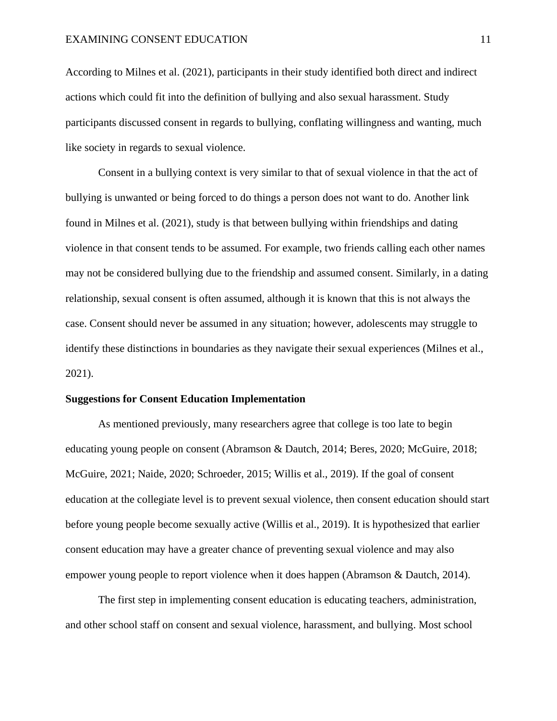According to Milnes et al. (2021), participants in their study identified both direct and indirect actions which could fit into the definition of bullying and also sexual harassment. Study participants discussed consent in regards to bullying, conflating willingness and wanting, much like society in regards to sexual violence.

Consent in a bullying context is very similar to that of sexual violence in that the act of bullying is unwanted or being forced to do things a person does not want to do. Another link found in Milnes et al. (2021), study is that between bullying within friendships and dating violence in that consent tends to be assumed. For example, two friends calling each other names may not be considered bullying due to the friendship and assumed consent. Similarly, in a dating relationship, sexual consent is often assumed, although it is known that this is not always the case. Consent should never be assumed in any situation; however, adolescents may struggle to identify these distinctions in boundaries as they navigate their sexual experiences (Milnes et al., 2021).

#### **Suggestions for Consent Education Implementation**

As mentioned previously, many researchers agree that college is too late to begin educating young people on consent (Abramson & Dautch, 2014; Beres, 2020; McGuire, 2018; McGuire, 2021; Naide, 2020; Schroeder, 2015; Willis et al., 2019). If the goal of consent education at the collegiate level is to prevent sexual violence, then consent education should start before young people become sexually active (Willis et al., 2019). It is hypothesized that earlier consent education may have a greater chance of preventing sexual violence and may also empower young people to report violence when it does happen (Abramson & Dautch, 2014).

The first step in implementing consent education is educating teachers, administration, and other school staff on consent and sexual violence, harassment, and bullying. Most school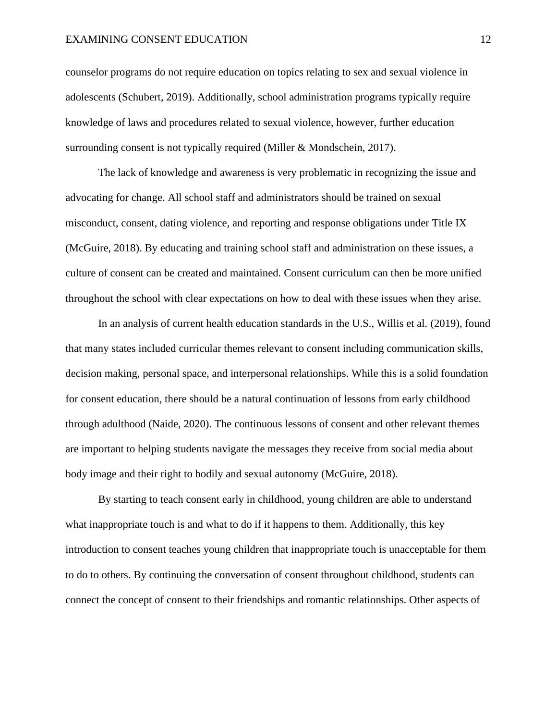#### EXAMINING CONSENT EDUCATION 12

counselor programs do not require education on topics relating to sex and sexual violence in adolescents (Schubert, 2019). Additionally, school administration programs typically require knowledge of laws and procedures related to sexual violence, however, further education surrounding consent is not typically required (Miller & Mondschein, 2017).

The lack of knowledge and awareness is very problematic in recognizing the issue and advocating for change. All school staff and administrators should be trained on sexual misconduct, consent, dating violence, and reporting and response obligations under Title IX (McGuire, 2018). By educating and training school staff and administration on these issues, a culture of consent can be created and maintained. Consent curriculum can then be more unified throughout the school with clear expectations on how to deal with these issues when they arise.

In an analysis of current health education standards in the U.S., Willis et al. (2019), found that many states included curricular themes relevant to consent including communication skills, decision making, personal space, and interpersonal relationships. While this is a solid foundation for consent education, there should be a natural continuation of lessons from early childhood through adulthood (Naide, 2020). The continuous lessons of consent and other relevant themes are important to helping students navigate the messages they receive from social media about body image and their right to bodily and sexual autonomy (McGuire, 2018).

By starting to teach consent early in childhood, young children are able to understand what inappropriate touch is and what to do if it happens to them. Additionally, this key introduction to consent teaches young children that inappropriate touch is unacceptable for them to do to others. By continuing the conversation of consent throughout childhood, students can connect the concept of consent to their friendships and romantic relationships. Other aspects of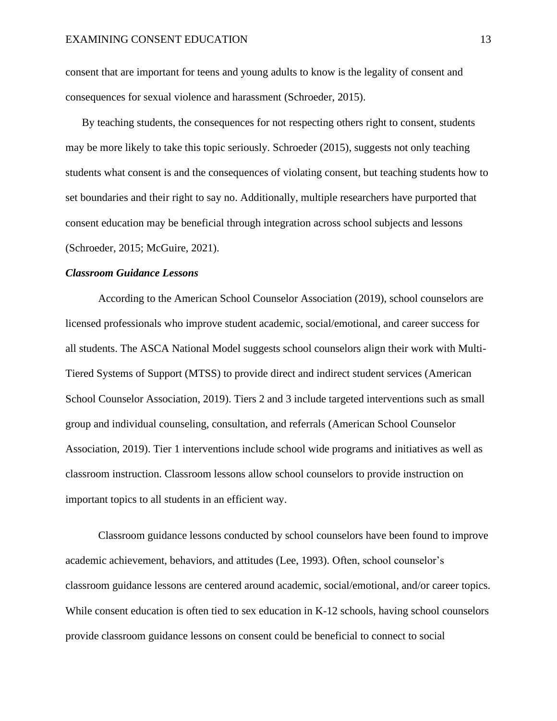consent that are important for teens and young adults to know is the legality of consent and consequences for sexual violence and harassment (Schroeder, 2015).

By teaching students, the consequences for not respecting others right to consent, students may be more likely to take this topic seriously. Schroeder (2015), suggests not only teaching students what consent is and the consequences of violating consent, but teaching students how to set boundaries and their right to say no. Additionally, multiple researchers have purported that consent education may be beneficial through integration across school subjects and lessons (Schroeder, 2015; McGuire, 2021).

#### *Classroom Guidance Lessons*

According to the American School Counselor Association (2019), school counselors are licensed professionals who improve student academic, social/emotional, and career success for all students. The ASCA National Model suggests school counselors align their work with Multi-Tiered Systems of Support (MTSS) to provide direct and indirect student services (American School Counselor Association, 2019). Tiers 2 and 3 include targeted interventions such as small group and individual counseling, consultation, and referrals (American School Counselor Association, 2019). Tier 1 interventions include school wide programs and initiatives as well as classroom instruction. Classroom lessons allow school counselors to provide instruction on important topics to all students in an efficient way.

Classroom guidance lessons conducted by school counselors have been found to improve academic achievement, behaviors, and attitudes (Lee, 1993). Often, school counselor's classroom guidance lessons are centered around academic, social/emotional, and/or career topics. While consent education is often tied to sex education in K-12 schools, having school counselors provide classroom guidance lessons on consent could be beneficial to connect to social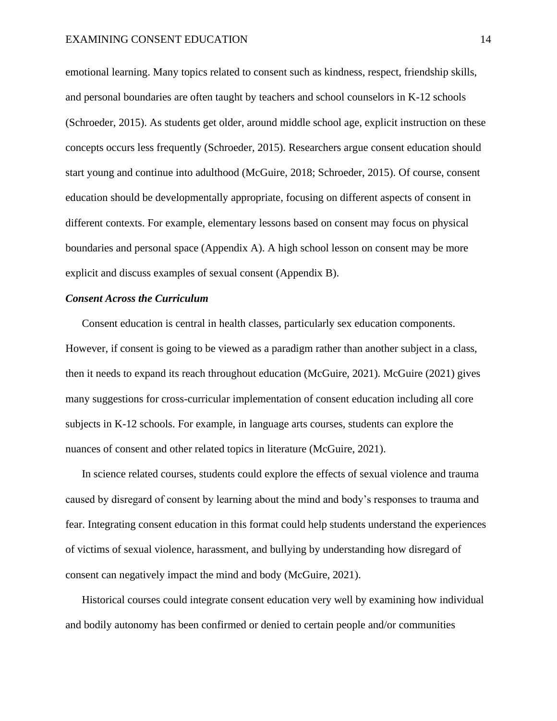emotional learning. Many topics related to consent such as kindness, respect, friendship skills, and personal boundaries are often taught by teachers and school counselors in K-12 schools (Schroeder, 2015). As students get older, around middle school age, explicit instruction on these concepts occurs less frequently (Schroeder, 2015). Researchers argue consent education should start young and continue into adulthood (McGuire, 2018; Schroeder, 2015). Of course, consent education should be developmentally appropriate, focusing on different aspects of consent in different contexts. For example, elementary lessons based on consent may focus on physical boundaries and personal space (Appendix A). A high school lesson on consent may be more explicit and discuss examples of sexual consent (Appendix B).

#### *Consent Across the Curriculum*

Consent education is central in health classes, particularly sex education components. However, if consent is going to be viewed as a paradigm rather than another subject in a class, then it needs to expand its reach throughout education (McGuire, 2021). McGuire (2021) gives many suggestions for cross-curricular implementation of consent education including all core subjects in K-12 schools. For example, in language arts courses, students can explore the nuances of consent and other related topics in literature (McGuire, 2021).

In science related courses, students could explore the effects of sexual violence and trauma caused by disregard of consent by learning about the mind and body's responses to trauma and fear. Integrating consent education in this format could help students understand the experiences of victims of sexual violence, harassment, and bullying by understanding how disregard of consent can negatively impact the mind and body (McGuire, 2021).

Historical courses could integrate consent education very well by examining how individual and bodily autonomy has been confirmed or denied to certain people and/or communities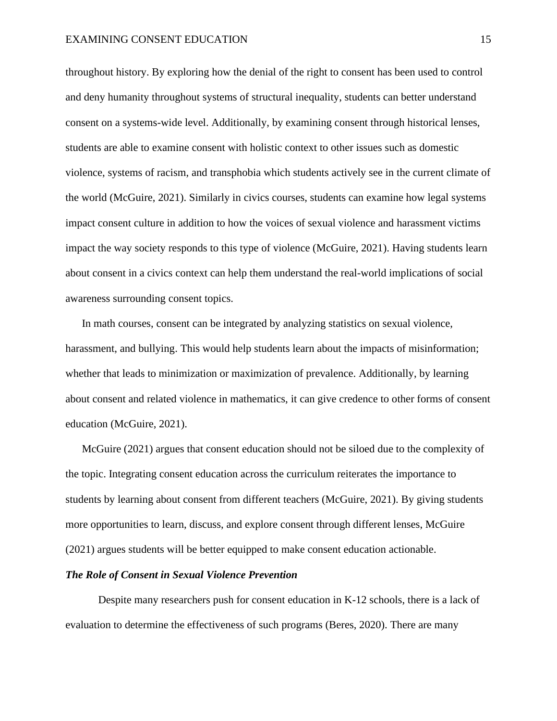throughout history. By exploring how the denial of the right to consent has been used to control and deny humanity throughout systems of structural inequality, students can better understand consent on a systems-wide level. Additionally, by examining consent through historical lenses, students are able to examine consent with holistic context to other issues such as domestic violence, systems of racism, and transphobia which students actively see in the current climate of the world (McGuire, 2021). Similarly in civics courses, students can examine how legal systems impact consent culture in addition to how the voices of sexual violence and harassment victims impact the way society responds to this type of violence (McGuire, 2021). Having students learn about consent in a civics context can help them understand the real-world implications of social awareness surrounding consent topics.

In math courses, consent can be integrated by analyzing statistics on sexual violence, harassment, and bullying. This would help students learn about the impacts of misinformation; whether that leads to minimization or maximization of prevalence. Additionally, by learning about consent and related violence in mathematics, it can give credence to other forms of consent education (McGuire, 2021).

McGuire (2021) argues that consent education should not be siloed due to the complexity of the topic. Integrating consent education across the curriculum reiterates the importance to students by learning about consent from different teachers (McGuire, 2021). By giving students more opportunities to learn, discuss, and explore consent through different lenses, McGuire (2021) argues students will be better equipped to make consent education actionable.

#### *The Role of Consent in Sexual Violence Prevention*

Despite many researchers push for consent education in K-12 schools, there is a lack of evaluation to determine the effectiveness of such programs (Beres, 2020). There are many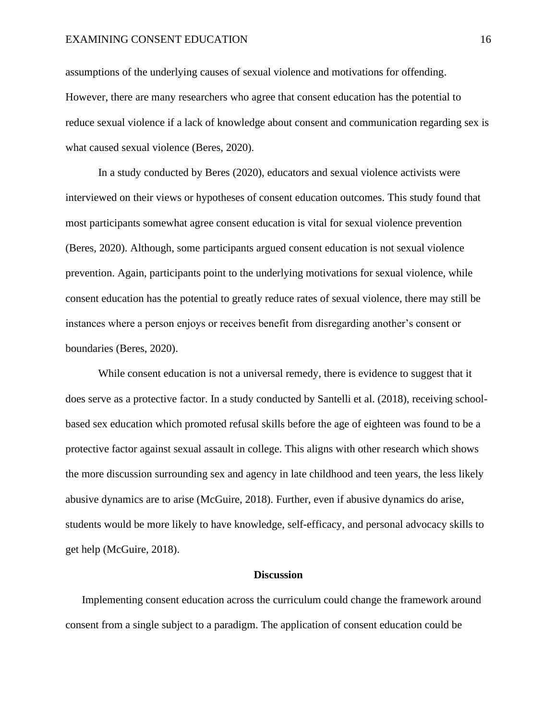#### EXAMINING CONSENT EDUCATION 16

assumptions of the underlying causes of sexual violence and motivations for offending. However, there are many researchers who agree that consent education has the potential to reduce sexual violence if a lack of knowledge about consent and communication regarding sex is what caused sexual violence (Beres, 2020).

In a study conducted by Beres (2020), educators and sexual violence activists were interviewed on their views or hypotheses of consent education outcomes. This study found that most participants somewhat agree consent education is vital for sexual violence prevention (Beres, 2020). Although, some participants argued consent education is not sexual violence prevention. Again, participants point to the underlying motivations for sexual violence, while consent education has the potential to greatly reduce rates of sexual violence, there may still be instances where a person enjoys or receives benefit from disregarding another's consent or boundaries (Beres, 2020).

While consent education is not a universal remedy, there is evidence to suggest that it does serve as a protective factor. In a study conducted by Santelli et al. (2018), receiving schoolbased sex education which promoted refusal skills before the age of eighteen was found to be a protective factor against sexual assault in college. This aligns with other research which shows the more discussion surrounding sex and agency in late childhood and teen years, the less likely abusive dynamics are to arise (McGuire, 2018). Further, even if abusive dynamics do arise, students would be more likely to have knowledge, self-efficacy, and personal advocacy skills to get help (McGuire, 2018).

#### **Discussion**

Implementing consent education across the curriculum could change the framework around consent from a single subject to a paradigm. The application of consent education could be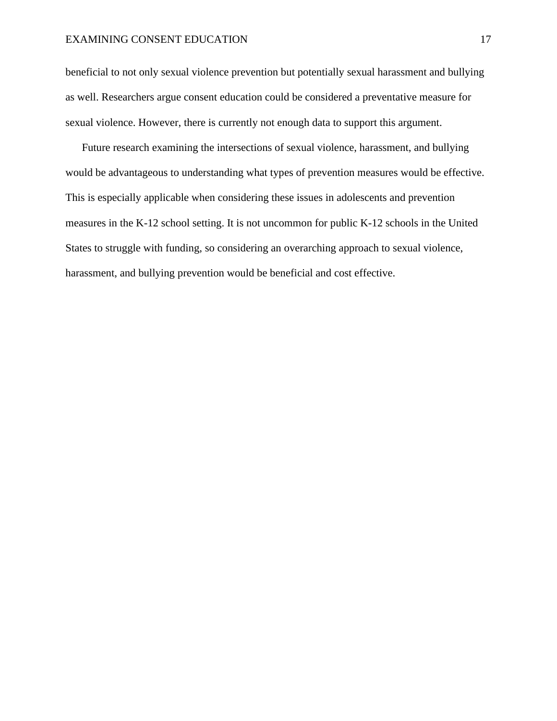#### EXAMINING CONSENT EDUCATION 17

beneficial to not only sexual violence prevention but potentially sexual harassment and bullying as well. Researchers argue consent education could be considered a preventative measure for sexual violence. However, there is currently not enough data to support this argument.

Future research examining the intersections of sexual violence, harassment, and bullying would be advantageous to understanding what types of prevention measures would be effective. This is especially applicable when considering these issues in adolescents and prevention measures in the K-12 school setting. It is not uncommon for public K-12 schools in the United States to struggle with funding, so considering an overarching approach to sexual violence, harassment, and bullying prevention would be beneficial and cost effective.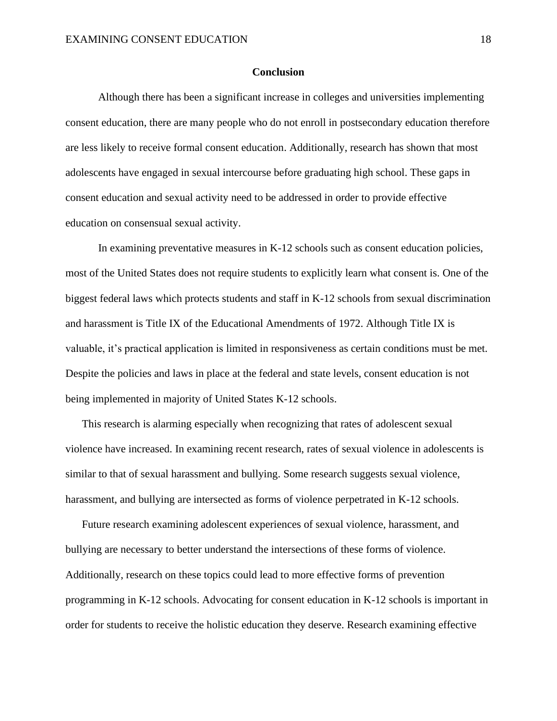#### **Conclusion**

Although there has been a significant increase in colleges and universities implementing consent education, there are many people who do not enroll in postsecondary education therefore are less likely to receive formal consent education. Additionally, research has shown that most adolescents have engaged in sexual intercourse before graduating high school. These gaps in consent education and sexual activity need to be addressed in order to provide effective education on consensual sexual activity.

In examining preventative measures in K-12 schools such as consent education policies, most of the United States does not require students to explicitly learn what consent is. One of the biggest federal laws which protects students and staff in K-12 schools from sexual discrimination and harassment is Title IX of the Educational Amendments of 1972. Although Title IX is valuable, it's practical application is limited in responsiveness as certain conditions must be met. Despite the policies and laws in place at the federal and state levels, consent education is not being implemented in majority of United States K-12 schools.

This research is alarming especially when recognizing that rates of adolescent sexual violence have increased. In examining recent research, rates of sexual violence in adolescents is similar to that of sexual harassment and bullying. Some research suggests sexual violence, harassment, and bullying are intersected as forms of violence perpetrated in K-12 schools.

Future research examining adolescent experiences of sexual violence, harassment, and bullying are necessary to better understand the intersections of these forms of violence. Additionally, research on these topics could lead to more effective forms of prevention programming in K-12 schools. Advocating for consent education in K-12 schools is important in order for students to receive the holistic education they deserve. Research examining effective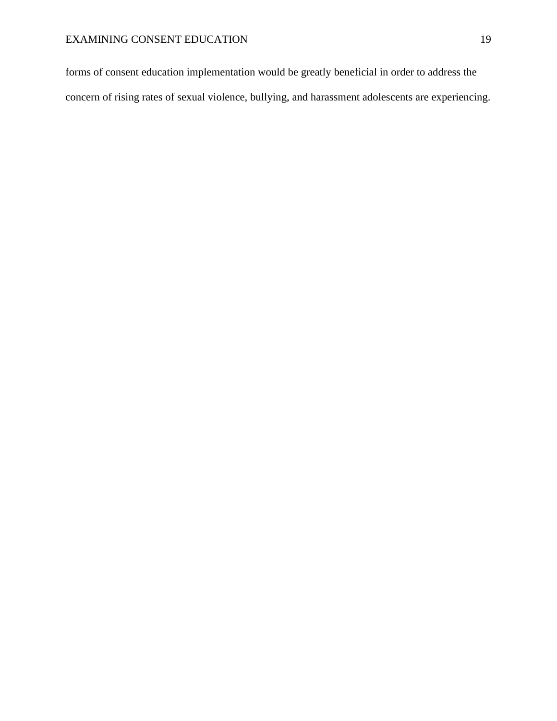forms of consent education implementation would be greatly beneficial in order to address the concern of rising rates of sexual violence, bullying, and harassment adolescents are experiencing.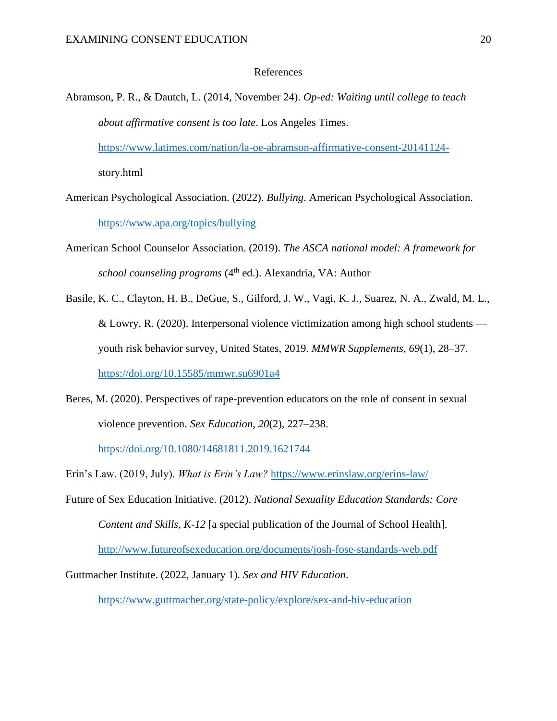#### References

Abramson, P. R., & Dautch, L. (2014, November 24). *Op-ed: Waiting until college to teach about affirmative consent is too late*. Los Angeles Times.

<https://www.latimes.com/nation/la-oe-abramson-affirmative-consent-20141124->

story.html

- American Psychological Association. (2022). *Bullying*. American Psychological Association. <https://www.apa.org/topics/bullying>
- American School Counselor Association. (2019). *The ASCA national model: A framework for school counseling programs* (4<sup>th</sup> ed.). Alexandria, VA: Author
- Basile, K. C., Clayton, H. B., DeGue, S., Gilford, J. W., Vagi, K. J., Suarez, N. A., Zwald, M. L., & Lowry, R. (2020). Interpersonal violence victimization among high school students youth risk behavior survey, United States, 2019. *MMWR Supplements*, *69*(1), 28–37. <https://doi.org/10.15585/mmwr.su6901a4>
- Beres, M. (2020). Perspectives of rape-prevention educators on the role of consent in sexual violence prevention. *Sex Education*, *20*(2), 227–238.

<https://doi.org/10.1080/14681811.2019.1621744>

Erin's Law. (2019, July). *What is Erin's Law?* <https://www.erinslaw.org/erins-law/>

Future of Sex Education Initiative. (2012). *National Sexuality Education Standards: Core Content and Skills, K-12* [a special publication of the Journal of School Health]. <http://www.futureofsexeducation.org/documents/josh-fose-standards-web.pdf>

Guttmacher Institute. (2022, January 1). *Sex and HIV Education*.

<https://www.guttmacher.org/state-policy/explore/sex-and-hiv-education>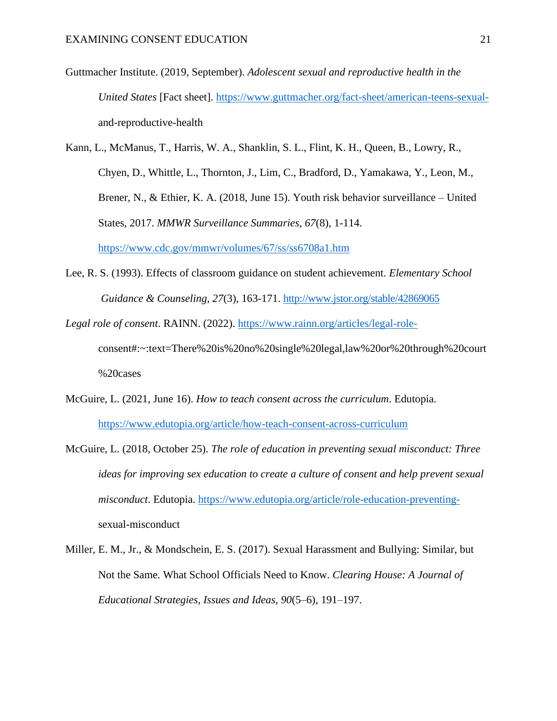Guttmacher Institute. (2019, September). *Adolescent sexual and reproductive health in the United States* [Fact sheet]. [https://www.guttmacher.org/fact-sheet/american-teens-sexual](https://www.guttmacher.org/fact-sheet/american-teens-sexual-)and-reproductive-health

Kann, L., McManus, T., Harris, W. A., Shanklin, S. L., Flint, K. H., Queen, B., Lowry, R., Chyen, D., Whittle, L., Thornton, J., Lim, C., Bradford, D., Yamakawa, Y., Leon, M., Brener, N., & Ethier, K. A. (2018, June 15). Youth risk behavior surveillance – United States, 2017. *MMWR Surveillance Summaries, 67*(8), 1-114. <https://www.cdc.gov/mmwr/volumes/67/ss/ss6708a1.htm>

Lee, R. S. (1993). Effects of classroom guidance on student achievement. *Elementary School Guidance & Counseling, 27*(3), 163-171.<http://www.jstor.org/stable/42869065>

*Legal role of consent*. RAINN. (2022). [https://www.rainn.org/articles/legal-role](https://www.rainn.org/articles/legal-role-)consent#:~:text=There%20is%20no%20single%20legal,law%20or%20through%20court %20cases

- McGuire, L. (2021, June 16). *How to teach consent across the curriculum*. Edutopia. <https://www.edutopia.org/article/how-teach-consent-across-curriculum>
- McGuire, L. (2018, October 25). *The role of education in preventing sexual misconduct: Three ideas for improving sex education to create a culture of consent and help prevent sexual misconduct*. Edutopia. [https://www.edutopia.org/article/role-education-preventing](https://www.edutopia.org/article/role-education-preventing-)sexual-misconduct
- Miller, E. M., Jr., & Mondschein, E. S. (2017). Sexual Harassment and Bullying: Similar, but Not the Same. What School Officials Need to Know. *Clearing House: A Journal of Educational Strategies, Issues and Ideas*, *90*(5–6), 191–197.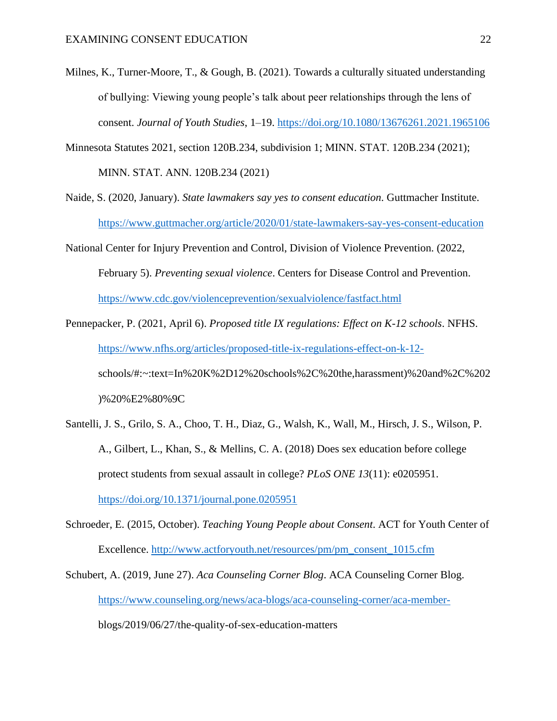- Milnes, K., Turner-Moore, T., & Gough, B. (2021). Towards a culturally situated understanding of bullying: Viewing young people's talk about peer relationships through the lens of consent. *Journal of Youth Studies*, 1–19.<https://doi.org/10.1080/13676261.2021.1965106>
- Minnesota Statutes 2021, section 120B.234, subdivision 1; MINN. STAT. 120B.234 (2021); MINN. STAT. ANN. 120B.234 (2021)
- Naide, S. (2020, January). *State lawmakers say yes to consent education*. Guttmacher Institute. <https://www.guttmacher.org/article/2020/01/state-lawmakers-say-yes-consent-education>
- National Center for Injury Prevention and Control, Division of Violence Prevention. (2022, February 5). *Preventing sexual violence*. Centers for Disease Control and Prevention. <https://www.cdc.gov/violenceprevention/sexualviolence/fastfact.html>
- Pennepacker, P. (2021, April 6). *Proposed title IX regulations: Effect on K-12 schools*. NFHS. [https://www.nfhs.org/articles/proposed-title-ix-regulations-effect-on-k-12](https://www.nfhs.org/articles/proposed-title-ix-regulations-effect-on-k-12-) schools/#:~:text=In%20K%2D12%20schools%2C%20the,harassment)%20and%2C%202 )%20%E2%80%9C
- Santelli, J. S., Grilo, S. A., Choo, T. H., Diaz, G., Walsh, K., Wall, M., Hirsch, J. S., Wilson, P. A., Gilbert, L., Khan, S., & Mellins, C. A. (2018) Does sex education before college protect students from sexual assault in college? *PLoS ONE 13*(11): e0205951. <https://doi.org/10.1371/journal.pone.0205951>
- Schroeder, E. (2015, October). *Teaching Young People about Consent*. ACT for Youth Center of Excellence. [http://www.actforyouth.net/resources/pm/pm\\_consent\\_1015.cfm](http://www.actforyouth.net/resources/pm/pm_consent_1015.cfm)
- Schubert, A. (2019, June 27). *Aca Counseling Corner Blog*. ACA Counseling Corner Blog. <https://www.counseling.org/news/aca-blogs/aca-counseling-corner/aca-member->

blogs/2019/06/27/the-quality-of-sex-education-matters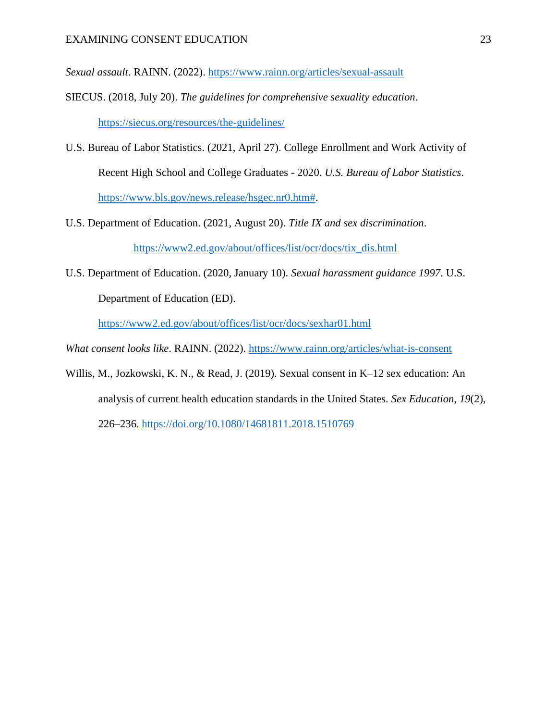*Sexual assault*. RAINN. (2022).<https://www.rainn.org/articles/sexual-assault>

- SIECUS. (2018, July 20). *The guidelines for comprehensive sexuality education*. <https://siecus.org/resources/the-guidelines/>
- U.S. Bureau of Labor Statistics. (2021, April 27). College Enrollment and Work Activity of Recent High School and College Graduates - 2020. *U.S. Bureau of Labor Statistics*. [https://www.bls.gov/news.release/hsgec.nr0.htm#.](https://www.bls.gov/news.release/hsgec.nr0.htm)
- U.S. Department of Education. (2021, August 20). *Title IX and sex discrimination*. [https://www2.ed.gov/about/offices/list/ocr/docs/tix\\_dis.html](https://www2.ed.gov/about/offices/list/ocr/docs/tix_dis.html)
- U.S. Department of Education. (2020, January 10). *Sexual harassment guidance 1997*. U.S. Department of Education (ED).

<https://www2.ed.gov/about/offices/list/ocr/docs/sexhar01.html>

- *What consent looks like*. RAINN. (2022).<https://www.rainn.org/articles/what-is-consent>
- Willis, M., Jozkowski, K. N., & Read, J. (2019). Sexual consent in K–12 sex education: An analysis of current health education standards in the United States. *Sex Education*, *19*(2),

226–236.<https://doi.org/10.1080/14681811.2018.1510769>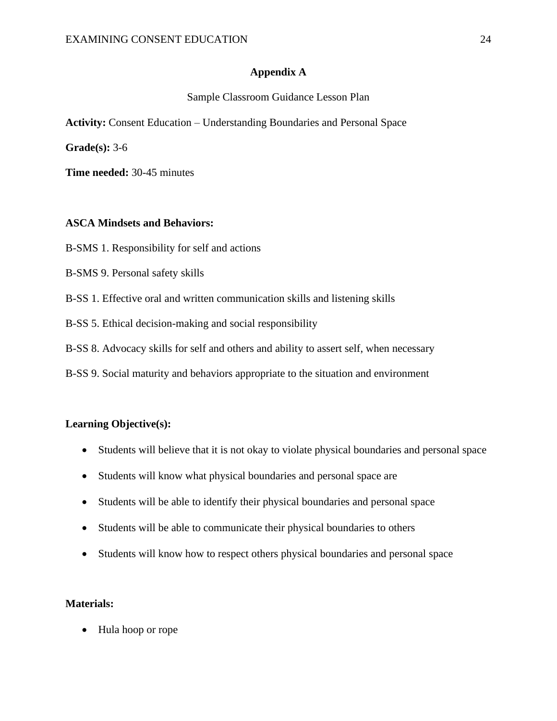## **Appendix A**

### Sample Classroom Guidance Lesson Plan

**Activity:** Consent Education – Understanding Boundaries and Personal Space

**Grade(s):** 3-6

**Time needed:** 30-45 minutes

## **ASCA Mindsets and Behaviors:**

- B-SMS 1. Responsibility for self and actions
- B-SMS 9. Personal safety skills
- B-SS 1. Effective oral and written communication skills and listening skills
- B-SS 5. Ethical decision-making and social responsibility
- B-SS 8. Advocacy skills for self and others and ability to assert self, when necessary
- B-SS 9. Social maturity and behaviors appropriate to the situation and environment

## **Learning Objective(s):**

- Students will believe that it is not okay to violate physical boundaries and personal space
- Students will know what physical boundaries and personal space are
- Students will be able to identify their physical boundaries and personal space
- Students will be able to communicate their physical boundaries to others
- Students will know how to respect others physical boundaries and personal space

## **Materials:**

• Hula hoop or rope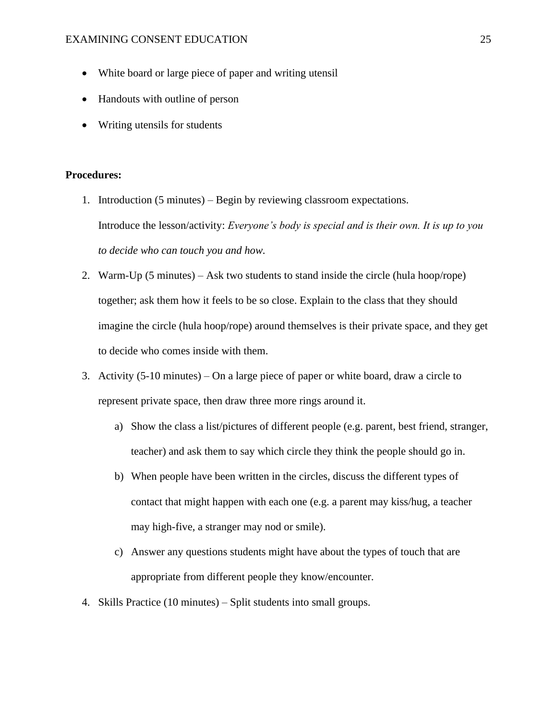- White board or large piece of paper and writing utensil
- Handouts with outline of person
- Writing utensils for students

#### **Procedures:**

- 1. Introduction (5 minutes) Begin by reviewing classroom expectations. Introduce the lesson/activity: *Everyone's body is special and is their own. It is up to you to decide who can touch you and how.*
- 2. Warm-Up (5 minutes) Ask two students to stand inside the circle (hula hoop/rope) together; ask them how it feels to be so close. Explain to the class that they should imagine the circle (hula hoop/rope) around themselves is their private space, and they get to decide who comes inside with them.
- 3. Activity (5-10 minutes) On a large piece of paper or white board, draw a circle to represent private space, then draw three more rings around it.
	- a) Show the class a list/pictures of different people (e.g. parent, best friend, stranger, teacher) and ask them to say which circle they think the people should go in.
	- b) When people have been written in the circles, discuss the different types of contact that might happen with each one (e.g. a parent may kiss/hug, a teacher may high-five, a stranger may nod or smile).
	- c) Answer any questions students might have about the types of touch that are appropriate from different people they know/encounter.
- 4. Skills Practice (10 minutes) Split students into small groups.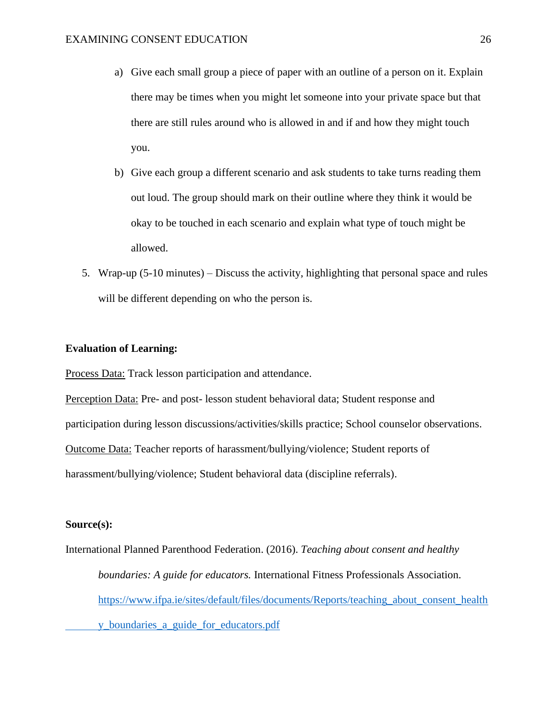- a) Give each small group a piece of paper with an outline of a person on it. Explain there may be times when you might let someone into your private space but that there are still rules around who is allowed in and if and how they might touch you.
- b) Give each group a different scenario and ask students to take turns reading them out loud. The group should mark on their outline where they think it would be okay to be touched in each scenario and explain what type of touch might be allowed.
- 5. Wrap-up (5-10 minutes) Discuss the activity, highlighting that personal space and rules will be different depending on who the person is.

#### **Evaluation of Learning:**

Process Data: Track lesson participation and attendance.

Perception Data: Pre- and post- lesson student behavioral data; Student response and participation during lesson discussions/activities/skills practice; School counselor observations. Outcome Data: Teacher reports of harassment/bullying/violence; Student reports of harassment/bullying/violence; Student behavioral data (discipline referrals).

#### **Source(s):**

International Planned Parenthood Federation. (2016). *Teaching about consent and healthy boundaries: A guide for educators.* International Fitness Professionals Association. [https://www.ifpa.ie/sites/default/files/documents/Reports/teaching\\_about\\_consent\\_health](https://www.ifpa.ie/sites/default/files/documents/Reports/teaching_about_consent_health%09y_boundaries_a_guide_for_educators.pdf) [y\\_boundaries\\_a\\_guide\\_for\\_educators.pdf](https://www.ifpa.ie/sites/default/files/documents/Reports/teaching_about_consent_health%09y_boundaries_a_guide_for_educators.pdf)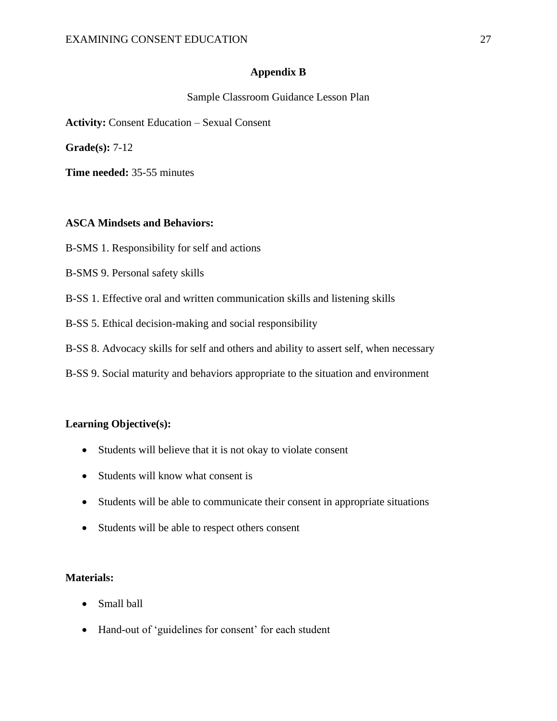## **Appendix B**

Sample Classroom Guidance Lesson Plan

**Activity:** Consent Education – Sexual Consent

**Grade(s):** 7-12

**Time needed:** 35-55 minutes

## **ASCA Mindsets and Behaviors:**

- B-SMS 1. Responsibility for self and actions
- B-SMS 9. Personal safety skills
- B-SS 1. Effective oral and written communication skills and listening skills
- B-SS 5. Ethical decision-making and social responsibility
- B-SS 8. Advocacy skills for self and others and ability to assert self, when necessary
- B-SS 9. Social maturity and behaviors appropriate to the situation and environment

## **Learning Objective(s):**

- Students will believe that it is not okay to violate consent
- Students will know what consent is
- Students will be able to communicate their consent in appropriate situations
- Students will be able to respect others consent

## **Materials:**

- Small ball
- Hand-out of 'guidelines for consent' for each student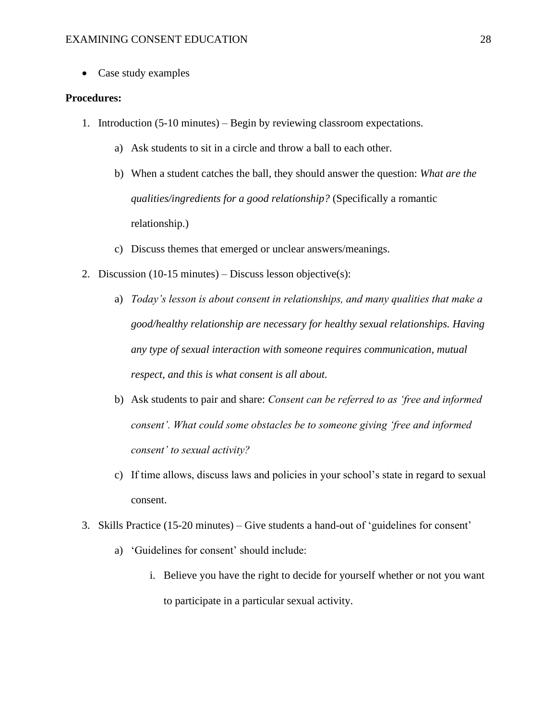• Case study examples

#### **Procedures:**

- 1. Introduction (5-10 minutes) Begin by reviewing classroom expectations.
	- a) Ask students to sit in a circle and throw a ball to each other.
	- b) When a student catches the ball, they should answer the question: *What are the qualities/ingredients for a good relationship?* (Specifically a romantic relationship.)
	- c) Discuss themes that emerged or unclear answers/meanings.
- 2. Discussion (10-15 minutes) Discuss lesson objective(s):
	- a) *Today's lesson is about consent in relationships, and many qualities that make a good/healthy relationship are necessary for healthy sexual relationships. Having any type of sexual interaction with someone requires communication, mutual respect, and this is what consent is all about.*
	- b) Ask students to pair and share: *Consent can be referred to as 'free and informed consent'. What could some obstacles be to someone giving 'free and informed consent' to sexual activity?*
	- c) If time allows, discuss laws and policies in your school's state in regard to sexual consent.
- 3. Skills Practice (15-20 minutes) Give students a hand-out of 'guidelines for consent'
	- a) 'Guidelines for consent' should include:
		- i. Believe you have the right to decide for yourself whether or not you want to participate in a particular sexual activity.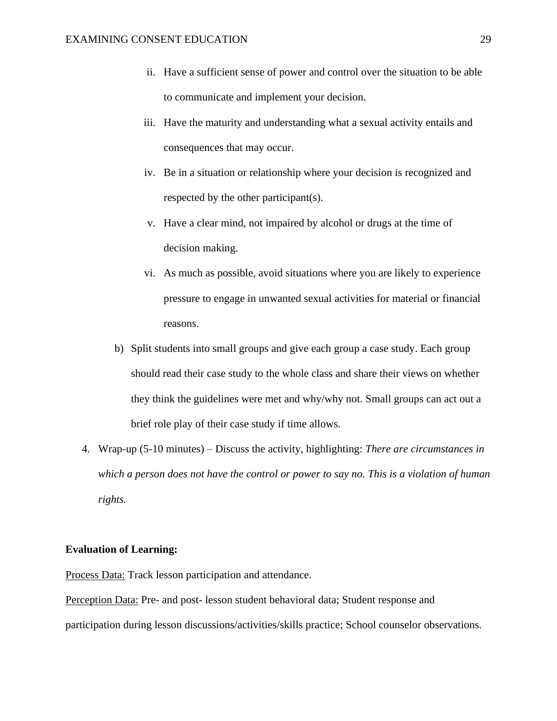- ii. Have a sufficient sense of power and control over the situation to be able to communicate and implement your decision.
- iii. Have the maturity and understanding what a sexual activity entails and consequences that may occur.
- iv. Be in a situation or relationship where your decision is recognized and respected by the other participant(s).
- v. Have a clear mind, not impaired by alcohol or drugs at the time of decision making.
- vi. As much as possible, avoid situations where you are likely to experience pressure to engage in unwanted sexual activities for material or financial reasons.
- b) Split students into small groups and give each group a case study. Each group should read their case study to the whole class and share their views on whether they think the guidelines were met and why/why not. Small groups can act out a brief role play of their case study if time allows.
- 4. Wrap-up (5-10 minutes) Discuss the activity, highlighting: *There are circumstances in which a person does not have the control or power to say no. This is a violation of human rights.*

#### **Evaluation of Learning:**

Process Data: Track lesson participation and attendance.

Perception Data: Pre- and post- lesson student behavioral data; Student response and participation during lesson discussions/activities/skills practice; School counselor observations.